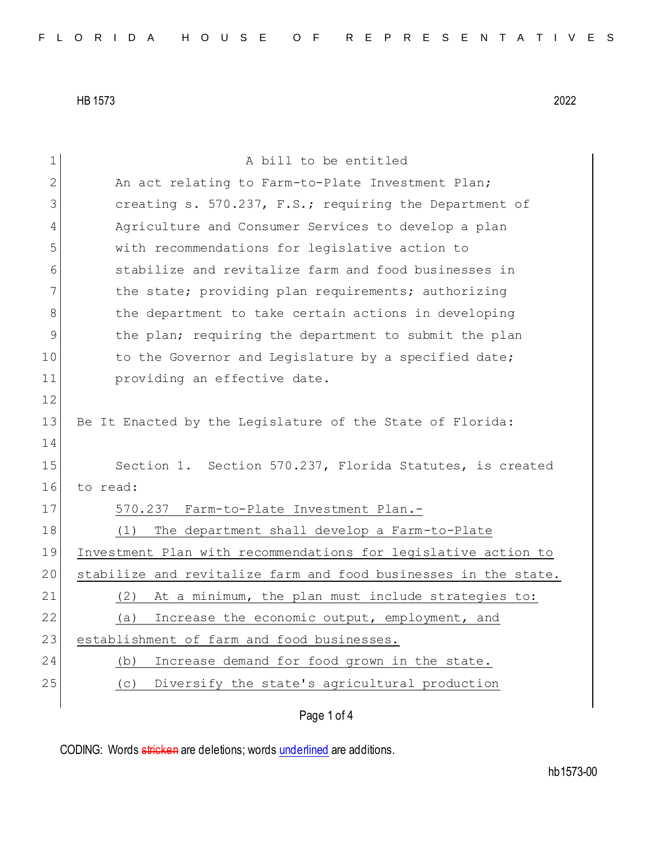| $\mathbf 1$  | A bill to be entitled                                           |  |  |  |  |  |  |  |  |  |
|--------------|-----------------------------------------------------------------|--|--|--|--|--|--|--|--|--|
| $\mathbf{2}$ | An act relating to Farm-to-Plate Investment Plan;               |  |  |  |  |  |  |  |  |  |
|              |                                                                 |  |  |  |  |  |  |  |  |  |
| 3            | creating s. 570.237, F.S.; requiring the Department of          |  |  |  |  |  |  |  |  |  |
| 4            | Agriculture and Consumer Services to develop a plan             |  |  |  |  |  |  |  |  |  |
| 5            | with recommendations for legislative action to                  |  |  |  |  |  |  |  |  |  |
| 6            | stabilize and revitalize farm and food businesses in            |  |  |  |  |  |  |  |  |  |
| 7            | the state; providing plan requirements; authorizing             |  |  |  |  |  |  |  |  |  |
| 8            | the department to take certain actions in developing            |  |  |  |  |  |  |  |  |  |
| 9            | the plan; requiring the department to submit the plan           |  |  |  |  |  |  |  |  |  |
| 10           | to the Governor and Legislature by a specified date;            |  |  |  |  |  |  |  |  |  |
| 11           | providing an effective date.                                    |  |  |  |  |  |  |  |  |  |
| 12           |                                                                 |  |  |  |  |  |  |  |  |  |
| 13           | Be It Enacted by the Legislature of the State of Florida:       |  |  |  |  |  |  |  |  |  |
| 14           |                                                                 |  |  |  |  |  |  |  |  |  |
| 15           | Section 1. Section 570.237, Florida Statutes, is created        |  |  |  |  |  |  |  |  |  |
| 16           | to read:                                                        |  |  |  |  |  |  |  |  |  |
| 17           | 570.237 Farm-to-Plate Investment Plan.-                         |  |  |  |  |  |  |  |  |  |
| 18           | The department shall develop a Farm-to-Plate<br>(1)             |  |  |  |  |  |  |  |  |  |
| 19           | Investment Plan with recommendations for legislative action to  |  |  |  |  |  |  |  |  |  |
| 20           | stabilize and revitalize farm and food businesses in the state. |  |  |  |  |  |  |  |  |  |
| 21           | At a minimum, the plan must include strategies to:<br>(2)       |  |  |  |  |  |  |  |  |  |
| 22           | Increase the economic output, employment, and<br>(a)            |  |  |  |  |  |  |  |  |  |
| 23           | establishment of farm and food businesses.                      |  |  |  |  |  |  |  |  |  |
| 24           | Increase demand for food grown in the state.<br>(b)             |  |  |  |  |  |  |  |  |  |
| 25           | Diversify the state's agricultural production<br>(C)            |  |  |  |  |  |  |  |  |  |
|              |                                                                 |  |  |  |  |  |  |  |  |  |
|              |                                                                 |  |  |  |  |  |  |  |  |  |

Page 1 of 4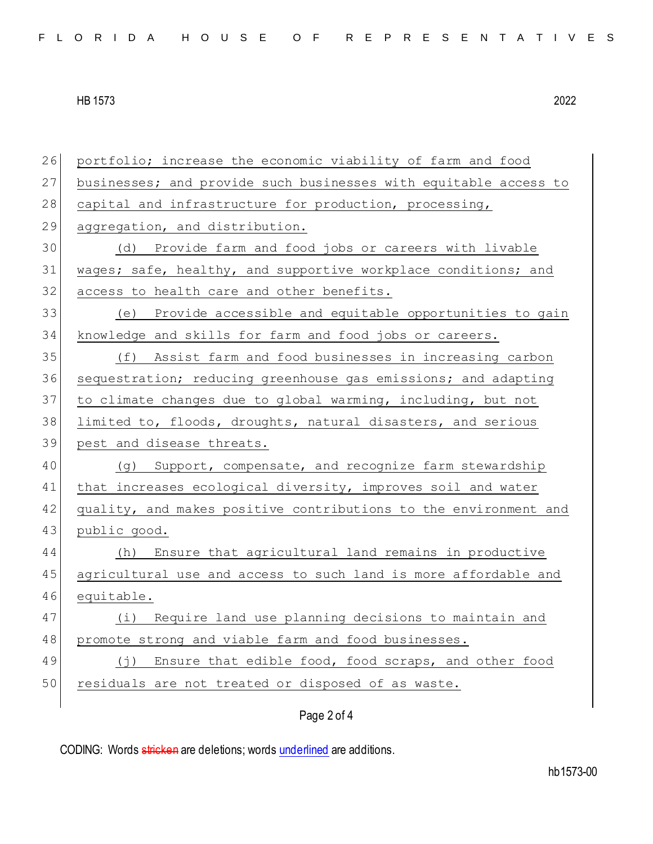26 portfolio; increase the economic viability of farm and food 27 businesses; and provide such businesses with equitable access to 28 capital and infrastructure for production, processing, 29 aggregation, and distribution. 30 (d) Provide farm and food jobs or careers with livable 31 wages; safe, healthy, and supportive workplace conditions; and 32 access to health care and other benefits. 33 (e) Provide accessible and equitable opportunities to gain 34 knowledge and skills for farm and food jobs or careers. 35 (f) Assist farm and food businesses in increasing carbon 36 sequestration; reducing greenhouse gas emissions; and adapting 37 to climate changes due to global warming, including, but not 38 limited to, floods, droughts, natural disasters, and serious 39 pest and disease threats. 40 (g) Support, compensate, and recognize farm stewardship 41 that increases ecological diversity, improves soil and water 42 quality, and makes positive contributions to the environment and 43 public good. 44 (h) Ensure that agricultural land remains in productive 45 agricultural use and access to such land is more affordable and 46 equitable. 47 (i) Require land use planning decisions to maintain and 48 promote strong and viable farm and food businesses. 49 (j) Ensure that edible food, food scraps, and other food 50 residuals are not treated or disposed of as waste.

## Page 2 of 4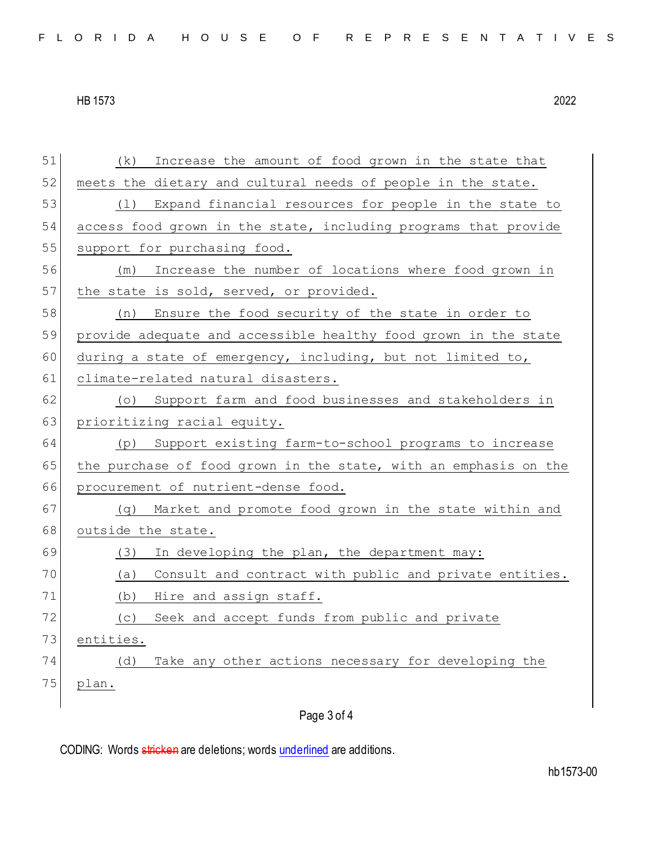51 (k) Increase the amount of food grown in the state that 52 meets the dietary and cultural needs of people in the state. 53 (1) Expand financial resources for people in the state to 54 access food grown in the state, including programs that provide 55 support for purchasing food. 56 (m) Increase the number of locations where food grown in 57 the state is sold, served, or provided. 58 (n) Ensure the food security of the state in order to 59 provide adequate and accessible healthy food grown in the state 60 during a state of emergency, including, but not limited to, 61 climate-related natural disasters. 62 (o) Support farm and food businesses and stakeholders in 63 prioritizing racial equity. 64 (p) Support existing farm-to-school programs to increase 65 the purchase of food grown in the state, with an emphasis on the 66 procurement of nutrient-dense food. 67 (q) Market and promote food grown in the state within and 68 outside the state. 69 (3) In developing the plan, the department may: 70 (a) Consult and contract with public and private entities. 71 (b) Hire and assign staff. 72 (c) Seek and accept funds from public and private 73 entities. 74 (d) Take any other actions necessary for developing the 75 plan.

Page 3 of 4